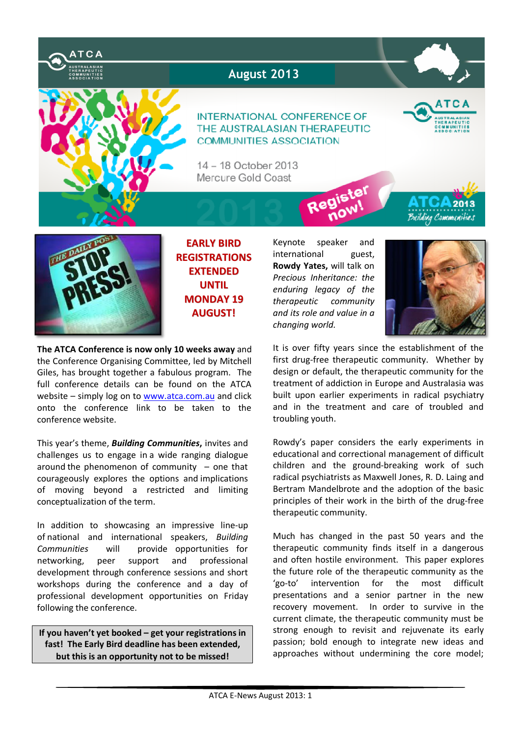

# **August 2013**

### **INTERNATIONAL CONFERENCE OF** THE AUSTRALASIAN THERAPEUTIC COMMUNITIES ASSOCIATION

14 - 18 October 2013 Mercure Gold Coast



Building Communities



**EARLY BIRD REGISTRATIONS EXTENDED UNTIL MONDAY 19 AUGUST!**

**The ATCA Conference is now only 10 weeks away** and the Conference Organising Committee, led by Mitchell Giles, has brought together a fabulous program. The full conference details can be found on the ATCA website – simply log on to www.atca.com.au and click onto the conference link to be taken to the conference website.

This year's theme, *Building Communities***,** invites and challenges us to engage in a wide ranging dialogue around the phenomenon of community  $-$  one that courageously explores the options and implications of moving beyond a restricted and limiting conceptualization of the term.

In addition to showcasing an impressive line-up of national and international speakers, *Building Communities* will provide opportunities for networking, peer support and professional development through conference sessions and short workshops during the conference and a day of professional development opportunities on Friday following the conference.

**If you haven't yet booked – get your registrations in fast! The Early Bird deadline has been extended, but this is an opportunity not to be missed!**

Keynote speaker and international guest, **Rowdy Yates,** will talk on *Precious Inheritance: the enduring legacy of the therapeutic community and its role and value in a changing world.* 

Red



It is over fifty years since the establishment of the first drug-free therapeutic community. Whether by design or default, the therapeutic community for the treatment of addiction in Europe and Australasia was built upon earlier experiments in radical psychiatry and in the treatment and care of troubled and troubling youth.

Rowdy's paper considers the early experiments in educational and correctional management of difficult children and the ground-breaking work of such radical psychiatrists as Maxwell Jones, R. D. Laing and Bertram Mandelbrote and the adoption of the basic principles of their work in the birth of the drug-free therapeutic community.

Much has changed in the past 50 years and the therapeutic community finds itself in a dangerous and often hostile environment. This paper explores the future role of the therapeutic community as the 'go-to' intervention for the most difficult presentations and a senior partner in the new recovery movement. In order to survive in the current climate, the therapeutic community must be strong enough to revisit and rejuvenate its early passion; bold enough to integrate new ideas and approaches without undermining the core model;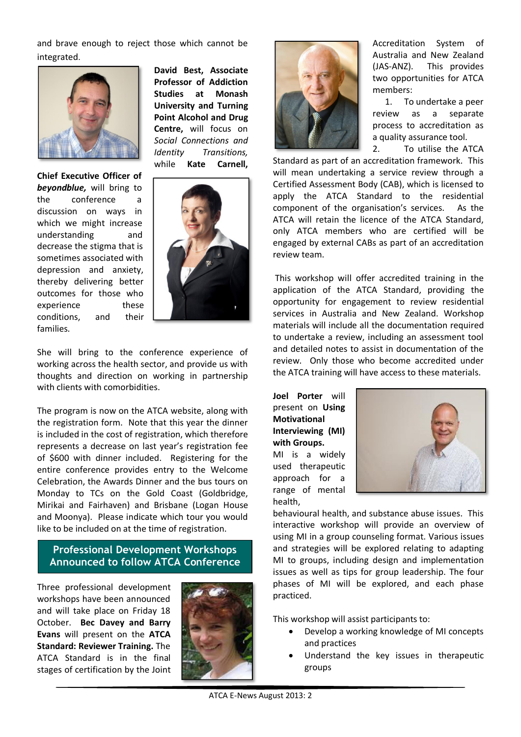and brave enough to reject those which cannot be integrated.



**Chief Executive Officer of**  *beyondblue,* will bring to the conference a discussion on ways in which we might increase understanding and decrease the stigma that is sometimes associated with depression and anxiety, thereby delivering better outcomes for those who experience these conditions, and their families.

**David Best, Associate Professor of Addiction Studies at Monash University and Turning Point Alcohol and Drug Centre,** will focus on *Social Connections and Identity Transitions,*  while **Kate Carnell,** 



She will bring to the conference experience of working across the health sector, and provide us with thoughts and direction on working in partnership with clients with comorbidities.

The program is now on the ATCA website, along with the registration form. Note that this year the dinner is included in the cost of registration, which therefore represents a decrease on last year's registration fee of \$600 with dinner included. Registering for the entire conference provides entry to the Welcome Celebration, the Awards Dinner and the bus tours on Monday to TCs on the Gold Coast (Goldbridge, Mirikai and Fairhaven) and Brisbane (Logan House and Moonya). Please indicate which tour you would like to be included on at the time of registration.

# **Professional Development Workshops Announced to follow ATCA Conference**

Three professional development workshops have been announced and will take place on Friday 18 October. **Bec Davey and Barry Evans** will present on the **ATCA Standard: Reviewer Training.** The ATCA Standard is in the final stages of certification by the Joint





Accreditation System of Australia and New Zealand (JAS-ANZ). This provides two opportunities for ATCA members:

1. To undertake a peer review as a separate process to accreditation as a quality assurance tool.

2. To utilise the ATCA Standard as part of an accreditation framework. This will mean undertaking a service review through a Certified Assessment Body (CAB), which is licensed to apply the ATCA Standard to the residential component of the organisation's services. As the ATCA will retain the licence of the ATCA Standard, only ATCA members who are certified will be engaged by external CABs as part of an accreditation review team.

This workshop will offer accredited training in the application of the ATCA Standard, providing the opportunity for engagement to review residential services in Australia and New Zealand. Workshop materials will include all the documentation required to undertake a review, including an assessment tool and detailed notes to assist in documentation of the review. Only those who become accredited under the ATCA training will have access to these materials.

**Joel Porter** will present on **Using Motivational Interviewing (MI) with Groups.**  MI is a widely used therapeutic approach for a range of mental

health,



behavioural health, and substance abuse issues. This interactive workshop will provide an overview of using MI in a group counseling format. Various issues and strategies will be explored relating to adapting MI to groups, including design and implementation issues as well as tips for group leadership. The four phases of MI will be explored, and each phase practiced.

This workshop will assist participants to:

- Develop a working knowledge of MI concepts and practices
- Understand the key issues in therapeutic groups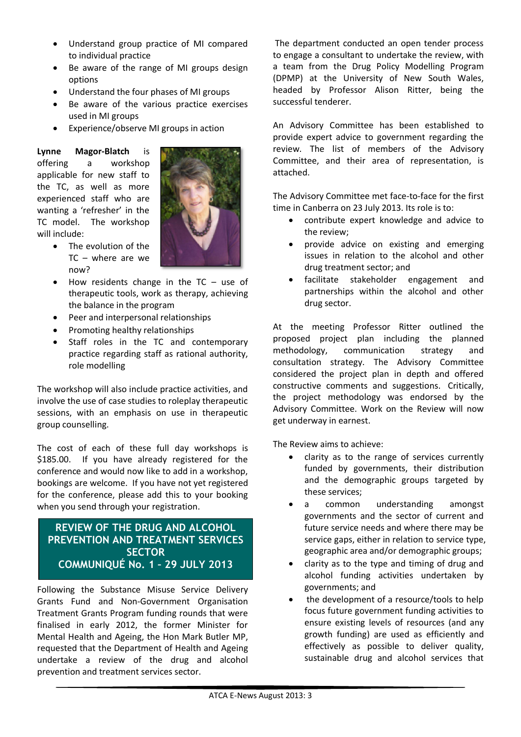- · Understand group practice of MI compared to individual practice
- · Be aware of the range of MI groups design options
- · Understand the four phases of MI groups
- · Be aware of the various practice exercises used in MI groups
- · Experience/observe MI groups in action

**Lynne Magor-Blatch** is offering a workshop applicable for new staff to the TC, as well as more experienced staff who are wanting a 'refresher' in the TC model. The workshop will include:

The evolution of the



- TC where are we now? How residents change in the  $TC -$  use of therapeutic tools, work as therapy, achieving
- the balance in the program · Peer and interpersonal relationships
- · Promoting healthy relationships
- Staff roles in the TC and contemporary practice regarding staff as rational authority, role modelling

The workshop will also include practice activities, and involve the use of case studies to roleplay therapeutic sessions, with an emphasis on use in therapeutic group counselling.

The cost of each of these full day workshops is \$185.00. If you have already registered for the conference and would now like to add in a workshop, bookings are welcome. If you have not yet registered for the conference, please add this to your booking when you send through your registration.

## **REVIEW OF THE DRUG AND ALCOHOL PREVENTION AND TREATMENT SERVICES SECTOR COMMUNIQUÉ No. 1 – 29 JULY 2013**

 $\overline{\phantom{a}}$ 

Following the Substance Misuse Service Delivery Grants Fund and Non-Government Organisation Treatment Grants Program funding rounds that were finalised in early 2012, the former Minister for Mental Health and Ageing, the Hon Mark Butler MP, requested that the Department of Health and Ageing undertake a review of the drug and alcohol prevention and treatment services sector.

The department conducted an open tender process to engage a consultant to undertake the review, with a team from the Drug Policy Modelling Program (DPMP) at the University of New South Wales, headed by Professor Alison Ritter, being the successful tenderer.

An Advisory Committee has been established to provide expert advice to government regarding the review. The list of members of the Advisory Committee, and their area of representation, is attached.

The Advisory Committee met face-to-face for the first time in Canberra on 23 July 2013. Its role is to:

- · contribute expert knowledge and advice to the review;
- provide advice on existing and emerging issues in relation to the alcohol and other drug treatment sector; and
- · facilitate stakeholder engagement and partnerships within the alcohol and other drug sector.

At the meeting Professor Ritter outlined the proposed project plan including the planned methodology, communication strategy and consultation strategy. The Advisory Committee considered the project plan in depth and offered constructive comments and suggestions. Critically, the project methodology was endorsed by the Advisory Committee. Work on the Review will now get underway in earnest.

The Review aims to achieve:

- clarity as to the range of services currently funded by governments, their distribution and the demographic groups targeted by these services;
- a common understanding amongst governments and the sector of current and future service needs and where there may be service gaps, either in relation to service type, geographic area and/or demographic groups;
- · clarity as to the type and timing of drug and alcohol funding activities undertaken by governments; and
- the development of a resource/tools to help focus future government funding activities to ensure existing levels of resources (and any growth funding) are used as efficiently and effectively as possible to deliver quality, sustainable drug and alcohol services that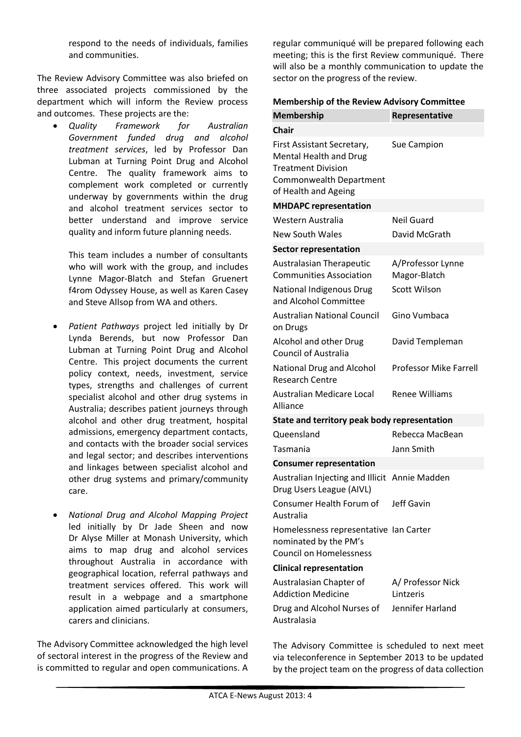respond to the needs of individuals, families and communities.

The Review Advisory Committee was also briefed on three associated projects commissioned by the department which will inform the Review process and outcomes. These projects are the:

· *Quality Framework for Australian Government funded drug and alcohol treatment services*, led by Professor Dan Lubman at Turning Point Drug and Alcohol Centre. The quality framework aims to complement work completed or currently underway by governments within the drug and alcohol treatment services sector to better understand and improve service quality and inform future planning needs.

This team includes a number of consultants who will work with the group, and includes Lynne Magor-Blatch and Stefan Gruenert f4rom Odyssey House, as well as Karen Casey and Steve Allsop from WA and others.

- · *Patient Pathways* project led initially by Dr Lynda Berends, but now Professor Dan Lubman at Turning Point Drug and Alcohol Centre. This project documents the current policy context, needs, investment, service types, strengths and challenges of current specialist alcohol and other drug systems in Australia; describes patient journeys through alcohol and other drug treatment, hospital admissions, emergency department contacts, and contacts with the broader social services and legal sector; and describes interventions and linkages between specialist alcohol and other drug systems and primary/community care.
- · *National Drug and Alcohol Mapping Project* led initially by Dr Jade Sheen and now Dr Alyse Miller at Monash University, which aims to map drug and alcohol services throughout Australia in accordance with geographical location, referral pathways and treatment services offered. This work will result in a webpage and a smartphone application aimed particularly at consumers, carers and clinicians.

The Advisory Committee acknowledged the high level of sectoral interest in the progress of the Review and is committed to regular and open communications. A regular communiqué will be prepared following each meeting; this is the first Review communiqué. There will also be a monthly communication to update the sector on the progress of the review.

#### **Membership of the Review Advisory Committee**

| <b>Membership</b>                                                                                                                                  | Representative                    |
|----------------------------------------------------------------------------------------------------------------------------------------------------|-----------------------------------|
| <b>Chair</b>                                                                                                                                       |                                   |
| First Assistant Secretary,<br><b>Mental Health and Drug</b><br><b>Treatment Division</b><br><b>Commonwealth Department</b><br>of Health and Ageing | Sue Campion                       |
| <b>MHDAPC representation</b>                                                                                                                       |                                   |
| Western Australia                                                                                                                                  | Neil Guard                        |
| <b>New South Wales</b>                                                                                                                             | David McGrath                     |
| <b>Sector representation</b>                                                                                                                       |                                   |
| <b>Australasian Therapeutic</b><br><b>Communities Association</b>                                                                                  | A/Professor Lynne<br>Magor-Blatch |
| <b>National Indigenous Drug</b><br>and Alcohol Committee                                                                                           | <b>Scott Wilson</b>               |
| <b>Australian National Council</b><br>on Drugs                                                                                                     | Gino Vumbaca                      |
| Alcohol and other Drug<br><b>Council of Australia</b>                                                                                              | David Templeman                   |
| <b>National Drug and Alcohol</b><br><b>Research Centre</b>                                                                                         | <b>Professor Mike Farrell</b>     |
| Australian Medicare Local<br>Alliance                                                                                                              | <b>Renee Williams</b>             |
| State and territory peak body representation                                                                                                       |                                   |
| Queensland                                                                                                                                         | Rebecca MacBean                   |
| Tasmania                                                                                                                                           | Jann Smith                        |
| <b>Consumer representation</b>                                                                                                                     |                                   |
| Australian Injecting and Illicit Annie Madden<br>Drug Users League (AIVL)                                                                          |                                   |
| Consumer Health Forum of<br>Australia                                                                                                              | <b>Jeff Gavin</b>                 |
| Homelessness representative Ian Carter<br>nominated by the PM's<br><b>Council on Homelessness</b>                                                  |                                   |
| <b>Clinical representation</b>                                                                                                                     |                                   |
| Australasian Chapter of<br><b>Addiction Medicine</b>                                                                                               | A/ Professor Nick<br>Lintzeris    |
| Drug and Alcohol Nurses of<br>Australasia                                                                                                          | Jennifer Harland                  |

The Advisory Committee is scheduled to next meet via teleconference in September 2013 to be updated by the project team on the progress of data collection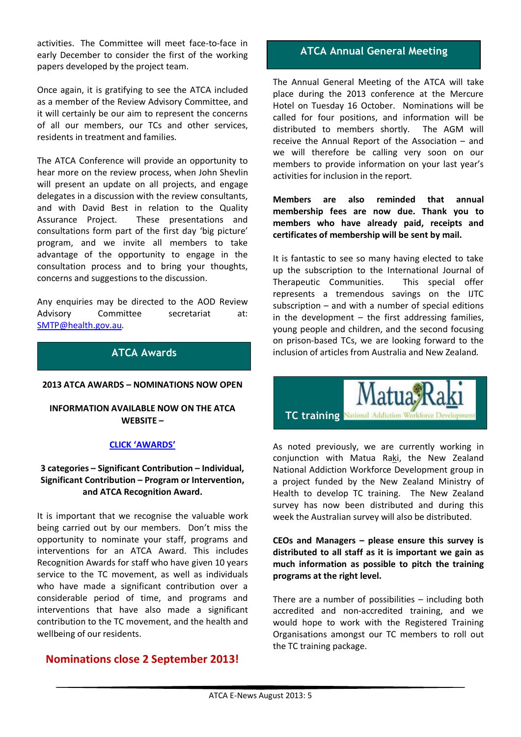activities. The Committee will meet face-to-face in early December to consider the first of the working papers developed by the project team.

Once again, it is gratifying to see the ATCA included as a member of the Review Advisory Committee, and it will certainly be our aim to represent the concerns of all our members, our TCs and other services, residents in treatment and families.

The ATCA Conference will provide an opportunity to hear more on the review process, when John Shevlin will present an update on all projects, and engage delegates in a discussion with the review consultants, and with David Best in relation to the Quality Assurance Project. These presentations and consultations form part of the first day 'big picture' program, and we invite all members to take advantage of the opportunity to engage in the consultation process and to bring your thoughts, concerns and suggestions to the discussion.

Any enquiries may be directed to the AOD Review Advisory Committee secretariat at: SMTP@health.gov.au.

# **ATCA Awards**

#### **2013 ATCA AWARDS – NOMINATIONS NOW OPEN**

#### **INFORMATION AVAILABLE NOW ON THE ATCA WEBSITE –**

#### **CLICK 'AWARDS'**

### **3 categories – Significant Contribution – Individual, Significant Contribution – Program or Intervention, and ATCA Recognition Award.**

It is important that we recognise the valuable work being carried out by our members. Don't miss the opportunity to nominate your staff, programs and interventions for an ATCA Award. This includes Recognition Awards for staff who have given 10 years service to the TC movement, as well as individuals who have made a significant contribution over a considerable period of time, and programs and interventions that have also made a significant contribution to the TC movement, and the health and wellbeing of our residents.

# **Nominations close 2 September 2013!**

### **ATCA Annual General Meeting**

The Annual General Meeting of the ATCA will take place during the 2013 conference at the Mercure Hotel on Tuesday 16 October. Nominations will be called for four positions, and information will be distributed to members shortly. The AGM will receive the Annual Report of the Association – and we will therefore be calling very soon on our members to provide information on your last year's activities for inclusion in the report.

**Members are also reminded that annual membership fees are now due. Thank you to members who have already paid, receipts and certificates of membership will be sent by mail.**

It is fantastic to see so many having elected to take up the subscription to the International Journal of Therapeutic Communities. This special offer represents a tremendous savings on the IJTC subscription – and with a number of special editions in the development  $-$  the first addressing families, young people and children, and the second focusing on prison-based TCs, we are looking forward to the inclusion of articles from Australia and New Zealand.



**TC training** 

As noted previously, we are currently working in conjunction with Matua Raki, the New Zealand National Addiction Workforce Development group in a project funded by the New Zealand Ministry of Health to develop TC training. The New Zealand survey has now been distributed and during this week the Australian survey will also be distributed.

**CEOs and Managers – please ensure this survey is distributed to all staff as it is important we gain as much information as possible to pitch the training programs at the right level.**

There are a number of possibilities – including both accredited and non-accredited training, and we would hope to work with the Registered Training Organisations amongst our TC members to roll out the TC training package.